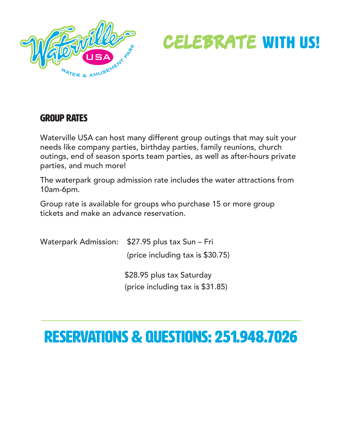



## Group Rates

Waterville USA can host many different group outings that may suit your needs like company parties, birthday parties, family reunions, church outings, end of season sports team parties, as well as after-hours private parties, and much more!

The waterpark group admission rate includes the water attractions from 10am-6pm.

Group rate is available for groups who purchase 15 or more group tickets and make an advance reservation.

| Waterpark Admission: \$27.95 plus tax Sun – Fri               |
|---------------------------------------------------------------|
| (price including tax is \$30.75)                              |
| \$28.95 plus tax Saturday<br>(price including tax is \$31.85) |
|                                                               |

## RESERVATIONS & QUESTIONS: 251.948.7026